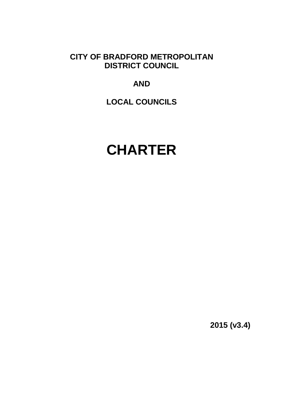**CITY OF BRADFORD METROPOLITAN DISTRICT COUNCIL** 

# **AND**

**LOCAL COUNCILS** 

# **CHARTER**

**2015 (v3.4)**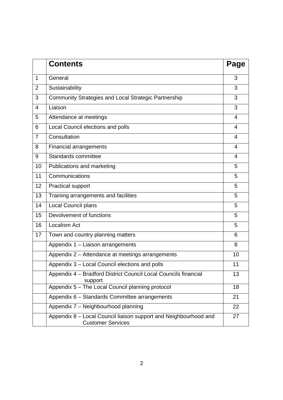|                | <b>Contents</b>                                                                              | Page |
|----------------|----------------------------------------------------------------------------------------------|------|
| 1              | General                                                                                      | 3    |
| $\overline{2}$ | Sustainability                                                                               | 3    |
| 3              | Community Strategies and Local Strategic Partnership                                         | 3    |
| $\overline{4}$ | Liaison                                                                                      | 3    |
| 5              | Attendance at meetings                                                                       | 4    |
| 6              | Local Council elections and polls                                                            | 4    |
| $\overline{7}$ | Consultation                                                                                 | 4    |
| 8              | <b>Financial arrangements</b>                                                                | 4    |
| 9              | Standards committee                                                                          | 4    |
| 10             | Publications and marketing                                                                   | 5    |
| 11             | Communications                                                                               | 5    |
| 12             | <b>Practical support</b>                                                                     | 5    |
| 13             | Training arrangements and facilities                                                         | 5    |
| 14             | Local Council plans                                                                          | 5    |
| 15             | Devolvement of functions                                                                     | 5    |
| 16             | Localism Act                                                                                 | 5    |
| 17             | Town and country planning matters                                                            | 6    |
|                | Appendix 1 - Liaison arrangements                                                            | 8    |
|                | Appendix 2 - Attendance at meetings arrangements                                             | 10   |
|                | Appendix 3 - Local Council elections and polls                                               | 11   |
|                | Appendix 4 - Bradford District Council Local Councils financial<br>support                   | 13   |
|                | Appendix 5 - The Local Council planning protocol                                             | 18   |
|                | Appendix 6 - Standards Committee arrangements                                                | 21   |
|                | Appendix 7 - Neighbourhood planning                                                          | 22   |
|                | Appendix 8 - Local Council liaison support and Neighbourhood and<br><b>Customer Services</b> | 27   |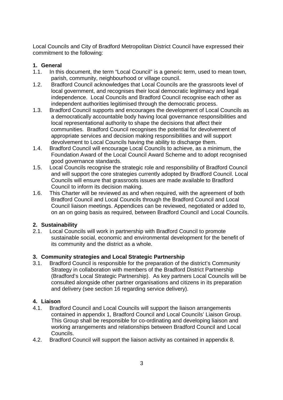Local Councils and City of Bradford Metropolitan District Council have expressed their commitment to the following:

#### **1. General**

- 1.1. In this document, the term "Local Council" is a generic term, used to mean town, parish, community, neighbourhood or village council.
- 1.2. Bradford Council acknowledges that Local Councils are the grassroots level of local government, and recognises their local democratic legitimacy and legal independence. Local Councils and Bradford Council recognise each other as independent authorities legitimised through the democratic process.
- 1.3. Bradford Council supports and encourages the development of Local Councils as a democratically accountable body having local governance responsibilities and local representational authority to shape the decisions that affect their communities. Bradford Council recognises the potential for devolvement of appropriate services and decision making responsibilities and will support devolvement to Local Councils having the ability to discharge them.
- 1.4. Bradford Council will encourage Local Councils to achieve, as a minimum, the Foundation Award of the Local Council Award Scheme and to adopt recognised good governance standards.
- 1.5. Local Councils recognise the strategic role and responsibility of Bradford Council and will support the core strategies currently adopted by Bradford Council. Local Councils will ensure that grassroots issues are made available to Bradford Council to inform its decision making.
- 1.6. This Charter will be reviewed as and when required, with the agreement of both Bradford Council and Local Councils through the Bradford Council and Local Council liaison meetings. Appendices can be reviewed, negotiated or added to, on an on going basis as required, between Bradford Council and Local Councils.

## **2. Sustainability**

2.1. Local Councils will work in partnership with Bradford Council to promote sustainable social, economic and environmental development for the benefit of its community and the district as a whole.

## **3. Community strategies and Local Strategic Partnership**

3.1. Bradford Council is responsible for the preparation of the district's Community Strategy in collaboration with members of the Bradford District Partnership (Bradford's Local Strategic Partnership). As key partners Local Councils will be consulted alongside other partner organisations and citizens in its preparation and delivery (see section 16 regarding service delivery).

## **4. Liaison**

- 4.1. Bradford Council and Local Councils will support the liaison arrangements contained in appendix 1, Bradford Council and Local Councils' Liaison Group. This Group shall be responsible for co-ordinating and developing liaison and working arrangements and relationships between Bradford Council and Local Councils.
- 4.2. Bradford Council will support the liaison activity as contained in appendix 8.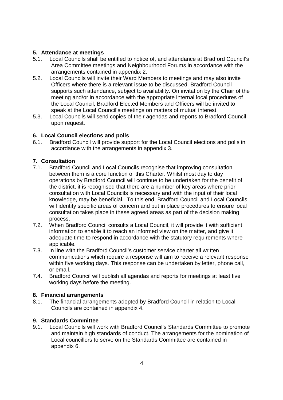#### **5. Attendance at meetings**

- 5.1. Local Councils shall be entitled to notice of, and attendance at Bradford Council's Area Committee meetings and Neighbourhood Forums in accordance with the arrangements contained in appendix 2.
- 5.2. Local Councils will invite their Ward Members to meetings and may also invite Officers where there is a relevant issue to be discussed. Bradford Council supports such attendance, subject to availability. On invitation by the Chair of the meeting and/or in accordance with the appropriate internal local procedures of the Local Council, Bradford Elected Members and Officers will be invited to speak at the Local Council's meetings on matters of mutual interest.
- 5.3. Local Councils will send copies of their agendas and reports to Bradford Council upon request.

#### **6. Local Council elections and polls**

6.1. Bradford Council will provide support for the Local Council elections and polls in accordance with the arrangements in appendix 3.

## **7. Consultation**

- 7.1. Bradford Council and Local Councils recognise that improving consultation between them is a core function of this Charter. Whilst most day to day operations by Bradford Council will continue to be undertaken for the benefit of the district, it is recognised that there are a number of key areas where prior consultation with Local Councils is necessary and with the input of their local knowledge, may be beneficial. To this end, Bradford Council and Local Councils will identify specific areas of concern and put in place procedures to ensure local consultation takes place in these agreed areas as part of the decision making process.
- 7.2. When Bradford Council consults a Local Council, it will provide it with sufficient information to enable it to reach an informed view on the matter, and give it adequate time to respond in accordance with the statutory requirements where applicable.
- 7.3. In line with the Bradford Council's customer service charter all written communications which require a response will aim to receive a relevant response within five working days. This response can be undertaken by letter, phone call, or email.
- 7.4. Bradford Council will publish all agendas and reports for meetings at least five working days before the meeting.

#### **8. Financial arrangements**

8.1. The financial arrangements adopted by Bradford Council in relation to Local Councils are contained in appendix 4.

## **9. Standards Committee**

9.1. Local Councils will work with Bradford Council's Standards Committee to promote and maintain high standards of conduct. The arrangements for the nomination of Local councillors to serve on the Standards Committee are contained in appendix 6.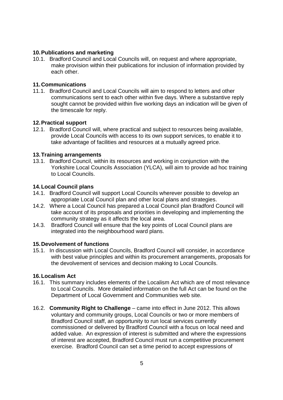#### **10. Publications and marketing**

10.1. Bradford Council and Local Councils will, on request and where appropriate, make provision within their publications for inclusion of information provided by each other.

#### **11. Communications**

11.1. Bradford Council and Local Councils will aim to respond to letters and other communications sent to each other within five days. Where a substantive reply sought cannot be provided within five working days an indication will be given of the timescale for reply.

#### **12. Practical support**

12.1. Bradford Council will, where practical and subject to resources being available, provide Local Councils with access to its own support services, to enable it to take advantage of facilities and resources at a mutually agreed price.

#### **13. Training arrangements**

13.1. Bradford Council, within its resources and working in conjunction with the Yorkshire Local Councils Association (YLCA), will aim to provide ad hoc training to Local Councils.

#### **14. Local Council plans**

- 14.1. Bradford Council will support Local Councils wherever possible to develop an appropriate Local Council plan and other local plans and strategies.
- 14.2. Where a Local Council has prepared a Local Council plan Bradford Council will take account of its proposals and priorities in developing and implementing the community strategy as it affects the local area.
- 14.3. Bradford Council will ensure that the key points of Local Council plans are integrated into the neighbourhood ward plans.

#### **15. Devolvement of functions**

15.1. In discussion with Local Councils, Bradford Council will consider, in accordance with best value principles and within its procurement arrangements, proposals for the devolvement of services and decision making to Local Councils.

#### **16. Localism Act**

- 16.1. This summary includes elements of the Localism Act which are of most relevance to Local Councils. More detailed information on the full Act can be found on the Department of Local Government and Communities web site.
- 16.2. **Community Right to Challenge** came into effect in June 2012. This allows voluntary and community groups, Local Councils or two or more members of Bradford Council staff, an opportunity to run local services currently commissioned or delivered by Bradford Council with a focus on local need and added value. An expression of interest is submitted and where the expressions of interest are accepted, Bradford Council must run a competitive procurement exercise. Bradford Council can set a time period to accept expressions of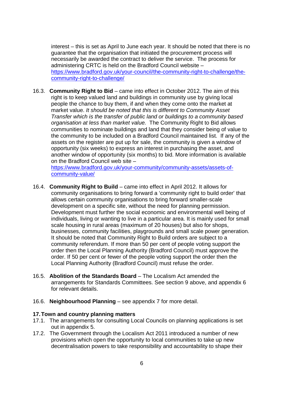interest – this is set as April to June each year. It should be noted that there is no guarantee that the organisation that initiated the procurement process will necessarily be awarded the contract to deliver the service. The process for administering CRTC is held on the Bradford Council website – https://www.bradford.gov.uk/your-council/the-community-right-to-challenge/thecommunity-right-to-challenge/

16.3. **Community Right to Bid** – came into effect in October 2012. The aim of this right is to keep valued land and buildings in community use by giving local people the chance to buy them, if and when they come onto the market at market value. It should be noted that this is different to Community Asset Transfer which is the transfer of public land or buildings to a community based organisation at less than market value. The Community Right to Bid allows communities to nominate buildings and land that they consider being of value to the community to be included on a Bradford Council maintained list. If any of the assets on the register are put up for sale, the community is given a window of opportunity (six weeks) to express an interest in purchasing the asset, and another window of opportunity (six months) to bid. More information is available on the Bradford Council web site –

https://www.bradford.gov.uk/your-community/community-assets/assets-ofcommunity-value/

- 16.4. **Community Right to Build** came into effect in April 2012. It allows for community organisations to bring forward a 'community right to build order' that allows certain community organisations to bring forward smaller-scale development on a specific site, without the need for planning permission. Development must further the social economic and environmental well being of individuals, living or wanting to live in a particular area. It is mainly used for small scale housing in rural areas (maximum of 20 houses) but also for shops, businesses, community facilities, playgrounds and small scale power generation. It should be noted that Community Right to Build orders are subject to a community referendum. If more than 50 per cent of people voting support the order then the Local Planning Authority (Bradford Council) must approve the order. If 50 per cent or fewer of the people voting support the order then the Local Planning Authority (Bradford Council) must refuse the order.
- 16.5. **Abolition of the Standards Board** The Localism Act amended the arrangements for Standards Committees. See section 9 above, and appendix 6 for relevant details.
- 16.6. **Neighbourhood Planning** see appendix 7 for more detail.

#### **17. Town and country planning matters**

- 17.1. The arrangements for consulting Local Councils on planning applications is set out in appendix 5.
- 17.2. The Government through the Localism Act 2011 introduced a number of new provisions which open the opportunity to local communities to take up new decentralisation powers to take responsibility and accountability to shape their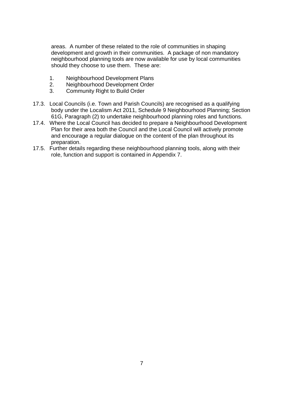areas. A number of these related to the role of communities in shaping development and growth in their communities. A package of non mandatory neighbourhood planning tools are now available for use by local communities should they choose to use them. These are:

- 1. Neighbourhood Development Plans
- 2. Neighbourhood Development Order
- 3. Community Right to Build Order
- 17.3. Local Councils (i.e. Town and Parish Councils) are recognised as a qualifying body under the Localism Act 2011, Schedule 9 Neighbourhood Planning; Section 61G, Paragraph (2) to undertake neighbourhood planning roles and functions.
- 17.4. Where the Local Council has decided to prepare a Neighbourhood Development Plan for their area both the Council and the Local Council will actively promote and encourage a regular dialogue on the content of the plan throughout its preparation.
- 17.5. Further details regarding these neighbourhood planning tools, along with their role, function and support is contained in Appendix 7.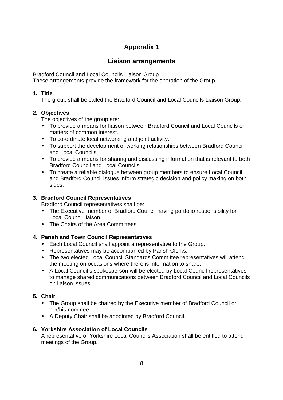## **Liaison arrangements**

Bradford Council and Local Councils Liaison Group

These arrangements provide the framework for the operation of the Group.

## **1. Title**

The group shall be called the Bradford Council and Local Councils Liaison Group.

## **2. Objectives**

The objectives of the group are:

- To provide a means for liaison between Bradford Council and Local Councils on matters of common interest.
- To co-ordinate local networking and joint activity.
- To support the development of working relationships between Bradford Council and Local Councils.
- To provide a means for sharing and discussing information that is relevant to both Bradford Council and Local Councils.
- To create a reliable dialogue between group members to ensure Local Council and Bradford Council issues inform strategic decision and policy making on both sides.

## **3. Bradford Council Representatives**

Bradford Council representatives shall be:

- The Executive member of Bradford Council having portfolio responsibility for Local Council liaison.
- The Chairs of the Area Committees.

## **4. Parish and Town Council Representatives**

- Each Local Council shall appoint a representative to the Group.
- Representatives may be accompanied by Parish Clerks.
- The two elected Local Council Standards Committee representatives will attend the meeting on occasions where there is information to share.
- A Local Council's spokesperson will be elected by Local Council representatives to manage shared communications between Bradford Council and Local Councils on liaison issues.

## **5. Chair**

- The Group shall be chaired by the Executive member of Bradford Council or her/his nominee.
- A Deputy Chair shall be appointed by Bradford Council.

## **6. Yorkshire Association of Local Councils**

A representative of Yorkshire Local Councils Association shall be entitled to attend meetings of the Group.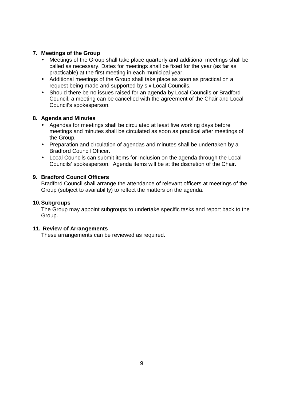#### **7. Meetings of the Group**

- Meetings of the Group shall take place quarterly and additional meetings shall be called as necessary. Dates for meetings shall be fixed for the year (as far as practicable) at the first meeting in each municipal year.
- Additional meetings of the Group shall take place as soon as practical on a request being made and supported by six Local Councils.
- Should there be no issues raised for an agenda by Local Councils or Bradford Council, a meeting can be cancelled with the agreement of the Chair and Local Council's spokesperson.

#### **8. Agenda and Minutes**

- Agendas for meetings shall be circulated at least five working days before meetings and minutes shall be circulated as soon as practical after meetings of the Group.
- Preparation and circulation of agendas and minutes shall be undertaken by a Bradford Council Officer.
- Local Councils can submit items for inclusion on the agenda through the Local Councils' spokesperson. Agenda items will be at the discretion of the Chair.

#### **9. Bradford Council Officers**

Bradford Council shall arrange the attendance of relevant officers at meetings of the Group (subject to availability) to reflect the matters on the agenda.

#### **10. Subgroups**

The Group may appoint subgroups to undertake specific tasks and report back to the Group.

#### **11. Review of Arrangements**

These arrangements can be reviewed as required.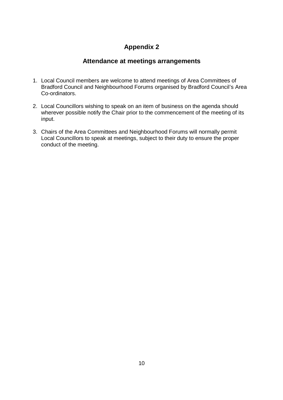## **Attendance at meetings arrangements**

- 1. Local Council members are welcome to attend meetings of Area Committees of Bradford Council and Neighbourhood Forums organised by Bradford Council's Area Co-ordinators.
- 2. Local Councillors wishing to speak on an item of business on the agenda should wherever possible notify the Chair prior to the commencement of the meeting of its input.
- 3. Chairs of the Area Committees and Neighbourhood Forums will normally permit Local Councillors to speak at meetings, subject to their duty to ensure the proper conduct of the meeting.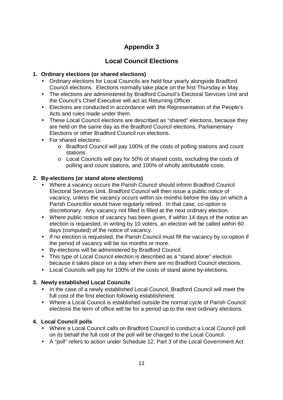# **Local Council Elections**

## **1. Ordinary elections (or shared elections)**

- Ordinary elections for Local Councils are held four yearly alongside Bradford Council elections. Elections normally take place on the first Thursday in May.
- The elections are administered by Bradford Council's Electoral Services Unit and the Council's Chief Executive will act as Returning Officer.
- Elections are conducted in accordance with the Representation of the People's Acts and rules made under them.
- These Local Council elections are described as "shared" elections, because they are held on the same day as the Bradford Council elections, Parliamentary Elections or other Bradford Council run elections.
- For shared elections:
	- o Bradford Council will pay 100% of the costs of polling stations and count stations.
	- o Local Councils will pay for 50% of shared costs, excluding the costs of polling and count stations, and 100% of wholly attributable costs.

## **2. By-elections (or stand alone elections)**

- Where a vacancy occurs the Parish Council should inform Bradford Council Electoral Services Unit. Bradford Council will then issue a public notice of vacancy, unless the vacancy occurs within six months before the day on which a Parish Councillor would have regularly retired. In that case, co-option is discretionary. Any vacancy not filled is filled at the next ordinary election.
- Where public notice of vacancy has been given, if within 14 days of the notice an election is requested, in writing by 10 voters, an election will be called within 60 days (computed) of the notice of vacancy.
- If no election is requested, the Parish Council must fill the vacancy by co-option if the period of vacancy will be six months or more.
- By-elections will be administered by Bradford Council.
- This type of Local Council election is described as a "stand alone" election because it takes place on a day when there are no Bradford Council elections.
- Local Councils will pay for 100% of the costs of stand alone by-elections.

## **3. Newly established Local Councils**

- In the case of a newly established Local Council, Bradford Council will meet the full cost of the first election following establishment.
- Where a Local Council is established outside the normal cycle of Parish Council elections the term of office will be for a period up to the next ordinary elections.

## **4. Local Council polls**

- Where a Local Council calls on Bradford Council to conduct a Local Council poll on its behalf the full cost of the poll will be charged to the Local Council.
- A "poll" refers to action under Schedule 12, Part 3 of the Local Government Act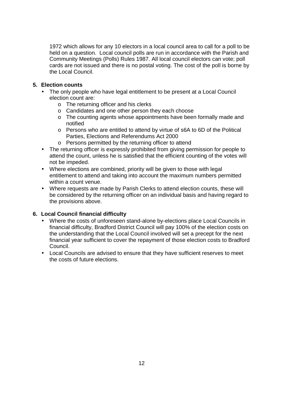1972 which allows for any 10 electors in a local council area to call for a poll to be held on a question. Local council polls are run in accordance with the Parish and Community Meetings (Polls) Rules 1987. All local council electors can vote; poll cards are not issued and there is no postal voting. The cost of the poll is borne by the Local Council.

#### **5. Election counts**

- The only people who have legal entitlement to be present at a Local Council election count are:
	- o The returning officer and his clerks
	- o Candidates and one other person they each choose
	- o The counting agents whose appointments have been formally made and notified
	- o Persons who are entitled to attend by virtue of s6A to 6D of the Political Parties, Elections and Referendums Act 2000
	- o Persons permitted by the returning officer to attend
- The returning officer is expressly prohibited from giving permission for people to attend the count, unless he is satisfied that the efficient counting of the votes will not be impeded.
- Where elections are combined, priority will be given to those with legal entitlement to attend and taking into account the maximum numbers permitted within a count venue.
- Where requests are made by Parish Clerks to attend election counts, these will be considered by the returning officer on an individual basis and having regard to the provisions above.

#### **6. Local Council financial difficulty**

- Where the costs of unforeseen stand-alone by-elections place Local Councils in financial difficulty, Bradford District Council will pay 100% of the election costs on the understanding that the Local Council involved will set a precept for the next financial year sufficient to cover the repayment of those election costs to Bradford Council.
- Local Councils are advised to ensure that they have sufficient reserves to meet the costs of future elections.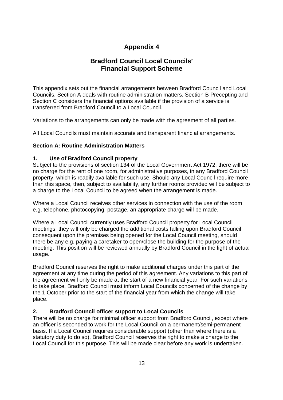## **Bradford Council Local Councils' Financial Support Scheme**

This appendix sets out the financial arrangements between Bradford Council and Local Councils. Section A deals with routine administration matters, Section B Precepting and Section C considers the financial options available if the provision of a service is transferred from Bradford Council to a Local Council.

Variations to the arrangements can only be made with the agreement of all parties.

All Local Councils must maintain accurate and transparent financial arrangements.

#### **Section A: Routine Administration Matters**

#### **1. Use of Bradford Council property**

Subject to the provisions of section 134 of the Local Government Act 1972, there will be no charge for the rent of one room, for administrative purposes, in any Bradford Council property, which is readily available for such use. Should any Local Council require more than this space, then, subject to availability, any further rooms provided will be subject to a charge to the Local Council to be agreed when the arrangement is made.

Where a Local Council receives other services in connection with the use of the room e.g. telephone, photocopying, postage, an appropriate charge will be made.

Where a Local Council currently uses Bradford Council property for Local Council meetings, they will only be charged the additional costs falling upon Bradford Council consequent upon the premises being opened for the Local Council meeting, should there be any e.g. paying a caretaker to open/close the building for the purpose of the meeting. This position will be reviewed annually by Bradford Council in the light of actual usage.

Bradford Council reserves the right to make additional charges under this part of the agreement at any time during the period of this agreement. Any variations to this part of the agreement will only be made at the start of a new financial year. For such variations to take place, Bradford Council must inform Local Councils concerned of the change by the 1 October prior to the start of the financial year from which the change will take place.

#### **2. Bradford Council officer support to Local Councils**

There will be no charge for minimal officer support from Bradford Council, except where an officer is seconded to work for the Local Council on a permanent/semi-permanent basis. If a Local Council requires considerable support (other than where there is a statutory duty to do so), Bradford Council reserves the right to make a charge to the Local Council for this purpose. This will be made clear before any work is undertaken.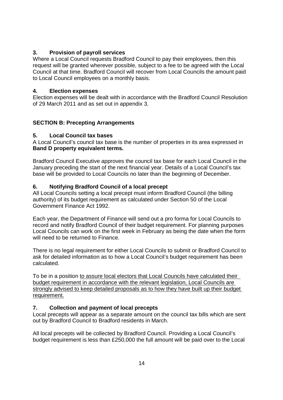#### **3. Provision of payroll services**

Where a Local Council requests Bradford Council to pay their employees, then this request will be granted wherever possible, subject to a fee to be agreed with the Local Council at that time. Bradford Council will recover from Local Councils the amount paid to Local Council employees on a monthly basis.

#### **4. Election expenses**

Election expenses will be dealt with in accordance with the Bradford Council Resolution of 29 March 2011 and as set out in appendix 3.

## **SECTION B: Precepting Arrangements**

## **5. Local Council tax bases**

A Local Council's council tax base is the number of properties in its area expressed in **Band D property equivalent terms.**

Bradford Council Executive approves the council tax base for each Local Council in the January preceding the start of the next financial year. Details of a Local Council's tax base will be provided to Local Councils no later than the beginning of December.

## **6. Notifying Bradford Council of a local precept**

All Local Councils setting a local precept must inform Bradford Council (the billing authority) of its budget requirement as calculated under Section 50 of the Local Government Finance Act 1992.

Each year, the Department of Finance will send out a pro forma for Local Councils to record and notify Bradford Council of their budget requirement. For planning purposes Local Councils can work on the first week in February as being the date when the form will need to be returned to Finance.

There is no legal requirement for either Local Councils to submit or Bradford Council to ask for detailed information as to how a Local Council's budget requirement has been calculated.

To be in a position to assure local electors that Local Councils have calculated their budget requirement in accordance with the relevant legislation, Local Councils are strongly advised to keep detailed proposals as to how they have built up their budget requirement.

## **7. Collection and payment of local precepts**

Local precepts will appear as a separate amount on the council tax bills which are sent out by Bradford Council to Bradford residents in March.

All local precepts will be collected by Bradford Council. Providing a Local Council's budget requirement is less than £250,000 the full amount will be paid over to the Local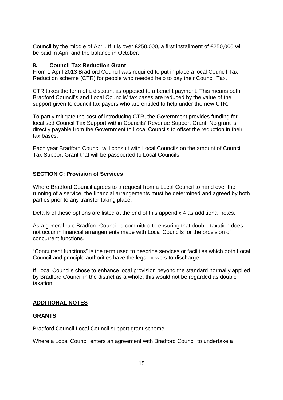Council by the middle of April. If it is over £250,000, a first installment of £250,000 will be paid in April and the balance in October.

#### **8. Council Tax Reduction Grant**

From 1 April 2013 Bradford Council was required to put in place a local Council Tax Reduction scheme (CTR) for people who needed help to pay their Council Tax.

CTR takes the form of a discount as opposed to a benefit payment. This means both Bradford Council's and Local Councils' tax bases are reduced by the value of the support given to council tax payers who are entitled to help under the new CTR.

To partly mitigate the cost of introducing CTR, the Government provides funding for localised Council Tax Support within Councils' Revenue Support Grant. No grant is directly payable from the Government to Local Councils to offset the reduction in their tax bases.

Each year Bradford Council will consult with Local Councils on the amount of Council Tax Support Grant that will be passported to Local Councils.

#### **SECTION C: Provision of Services**

Where Bradford Council agrees to a request from a Local Council to hand over the running of a service, the financial arrangements must be determined and agreed by both parties prior to any transfer taking place.

Details of these options are listed at the end of this appendix 4 as additional notes.

As a general rule Bradford Council is committed to ensuring that double taxation does not occur in financial arrangements made with Local Councils for the provision of concurrent functions.

"Concurrent functions" is the term used to describe services or facilities which both Local Council and principle authorities have the legal powers to discharge.

If Local Councils chose to enhance local provision beyond the standard normally applied by Bradford Council in the district as a whole, this would not be regarded as double taxation.

#### **ADDITIONAL NOTES**

#### **GRANTS**

Bradford Council Local Council support grant scheme

Where a Local Council enters an agreement with Bradford Council to undertake a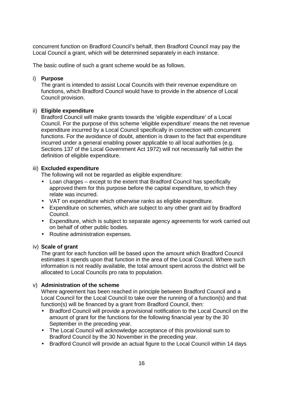concurrent function on Bradford Council's behalf, then Bradford Council may pay the Local Council a grant, which will be determined separately in each instance.

The basic outline of such a grant scheme would be as follows.

#### i) **Purpose**

The grant is intended to assist Local Councils with their revenue expenditure on functions, which Bradford Council would have to provide in the absence of Local Council provision.

#### ii) **Eligible expenditure**

Bradford Council will make grants towards the 'eligible expenditure' of a Local Council. For the purpose of this scheme 'eligible expenditure' means the net revenue expenditure incurred by a Local Council specifically in connection with concurrent functions. For the avoidance of doubt, attention is drawn to the fact that expenditure incurred under a general enabling power applicable to all local authorities (e.g. Sections 137 of the Local Government Act 1972) will not necessarily fall within the definition of eligible expenditure.

#### iii) **Excluded expenditure**

The following will not be regarded as eligible expenditure:

- Loan charges except to the extent that Bradford Council has specifically approved them for this purpose before the capital expenditure, to which they relate was incurred.
- VAT on expenditure which otherwise ranks as eligible expenditure.
- Expenditure on schemes, which are subject to any other grant aid by Bradford Council.
- Expenditure, which is subject to separate agency agreements for work carried out on behalf of other public bodies.
- Routine administration expenses.

#### iv) **Scale of grant**

The grant for each function will be based upon the amount which Bradford Council estimates it spends upon that function in the area of the Local Council. Where such information is not readily available, the total amount spent across the district will be allocated to Local Councils pro rata to population.

#### v) **Administration of the scheme**

Where agreement has been reached in principle between Bradford Council and a Local Council for the Local Council to take over the running of a function(s) and that function(s) will be financed by a grant from Bradford Council, then:

- Bradford Council will provide a provisional notification to the Local Council on the amount of grant for the functions for the following financial year by the 30 September in the preceding year.
- The Local Council will acknowledge acceptance of this provisional sum to Bradford Council by the 30 November in the preceding year.
- Bradford Council will provide an actual figure to the Local Council within 14 days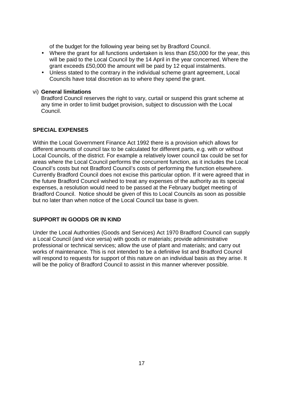of the budget for the following year being set by Bradford Council.

- Where the grant for all functions undertaken is less than £50,000 for the year, this will be paid to the Local Council by the 14 April in the year concerned. Where the grant exceeds £50,000 the amount will be paid by 12 equal instalments.
- Unless stated to the contrary in the individual scheme grant agreement, Local Councils have total discretion as to where they spend the grant.

#### vi) **General limitations**

Bradford Council reserves the right to vary, curtail or suspend this grant scheme at any time in order to limit budget provision, subject to discussion with the Local Council.

#### **SPECIAL EXPENSES**

Within the Local Government Finance Act 1992 there is a provision which allows for different amounts of council tax to be calculated for different parts, e.g. with or without Local Councils, of the district. For example a relatively lower council tax could be set for areas where the Local Council performs the concurrent function, as it includes the Local Council's costs but not Bradford Council's costs of performing the function elsewhere. Currently Bradford Council does not excise this particular option. If it were agreed that in the future Bradford Council wished to treat any expenses of the authority as its special expenses, a resolution would need to be passed at the February budget meeting of Bradford Council. Notice should be given of this to Local Councils as soon as possible but no later than when notice of the Local Council tax base is given.

#### **SUPPORT IN GOODS OR IN KIND**

Under the Local Authorities (Goods and Services) Act 1970 Bradford Council can supply a Local Council (and vice versa) with goods or materials; provide administrative professional or technical services; allow the use of plant and materials; and carry out works of maintenance. This is not intended to be a definitive list and Bradford Council will respond to requests for support of this nature on an individual basis as they arise. It will be the policy of Bradford Council to assist in this manner wherever possible.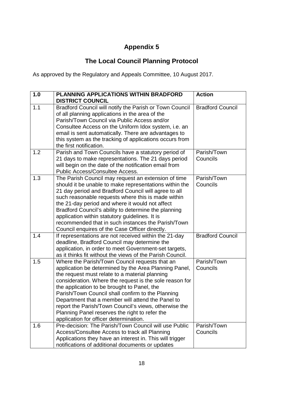# **The Local Council Planning Protocol**

As approved by the Regulatory and Appeals Committee, 10 August 2017.

| 1.0 | <b>PLANNING APPLICATIONS WITHIN BRADFORD</b><br><b>DISTRICT COUNCIL</b>                                                                                                                                                                                                                                                                                                                                                                                                                                                            | <b>Action</b>           |
|-----|------------------------------------------------------------------------------------------------------------------------------------------------------------------------------------------------------------------------------------------------------------------------------------------------------------------------------------------------------------------------------------------------------------------------------------------------------------------------------------------------------------------------------------|-------------------------|
| 1.1 | Bradford Council will notify the Parish or Town Council<br>of all planning applications in the area of the<br>Parish/Town Council via Public Access and/or<br>Consultee Access on the Uniform Idox system, i.e. an<br>email is sent automatically. There are advantages to<br>this system as the tracking of applications occurs from<br>the first notification.                                                                                                                                                                   | <b>Bradford Council</b> |
| 1.2 | Parish and Town Councils have a statutory period of<br>21 days to make representations. The 21 days period<br>will begin on the date of the notification email from<br>Public Access/Consultee Access.                                                                                                                                                                                                                                                                                                                             | Parish/Town<br>Councils |
| 1.3 | The Parish Council may request an extension of time<br>should it be unable to make representations within the<br>21 day period and Bradford Council will agree to all<br>such reasonable requests where this is made within<br>the 21-day period and where it would not affect<br>Bradford Council's ability to determine the planning<br>application within statutory guidelines. It is<br>recommended that in such instances the Parish/Town<br>Council enquires of the Case Officer directly.                                   | Parish/Town<br>Councils |
| 1.4 | If representations are not received within the 21-day<br>deadline, Bradford Council may determine the<br>application, in order to meet Government-set targets,<br>as it thinks fit without the views of the Parish Council.                                                                                                                                                                                                                                                                                                        | <b>Bradford Council</b> |
| 1.5 | Where the Parish/Town Council requests that an<br>application be determined by the Area Planning Panel,<br>the request must relate to a material planning<br>consideration. Where the request is the sole reason for<br>the application to be brought to Panel, the<br>Parish/Town Council shall confirm to the Planning<br>Department that a member will attend the Panel to<br>report the Parish/Town Council's views, otherwise the<br>Planning Panel reserves the right to refer the<br>application for officer determination. | Parish/Town<br>Councils |
| 1.6 | Pre-decision: The Parish/Town Council will use Public<br>Access/Consultee Access to track all Planning<br>Applications they have an interest in. This will trigger<br>notifications of additional documents or updates                                                                                                                                                                                                                                                                                                             | Parish/Town<br>Councils |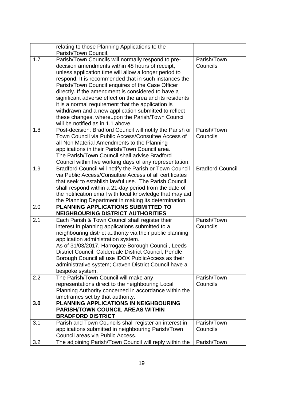|     | relating to those Planning Applications to the<br>Parish/Town Council.                     |                         |
|-----|--------------------------------------------------------------------------------------------|-------------------------|
| 1.7 | Parish/Town Councils will normally respond to pre-                                         | Parish/Town             |
|     | decision amendments within 48 hours of receipt,                                            | Councils                |
|     | unless application time will allow a longer period to                                      |                         |
|     | respond. It is recommended that in such instances the                                      |                         |
|     | Parish/Town Council enquires of the Case Officer                                           |                         |
|     | directly. If the amendment is considered to have a                                         |                         |
|     | significant adverse effect on the area and its residents                                   |                         |
|     | it is a normal requirement that the application is                                         |                         |
|     | withdrawn and a new application submitted to reflect                                       |                         |
|     | these changes, whereupon the Parish/Town Council                                           |                         |
|     | will be notified as in 1.1 above.                                                          |                         |
| 1.8 | Post-decision: Bradford Council will notify the Parish or                                  | Parish/Town             |
|     | Town Council via Public Access/Consultee Access of                                         | Councils                |
|     | all Non Material Amendments to the Planning                                                |                         |
|     | applications in their Parish/Town Council area.                                            |                         |
|     | The Parish/Town Council shall advise Bradford                                              |                         |
|     | Council within five working days of any representation.                                    |                         |
| 1.9 | Bradford Council will notify the Parish or Town Council                                    | <b>Bradford Council</b> |
|     | via Public Access/Consultee Access of all certificates                                     |                         |
|     | that seek to establish lawful use. The Parish Council                                      |                         |
|     | shall respond within a 21-day period from the date of                                      |                         |
|     | the notification email with local knowledge that may aid                                   |                         |
|     | the Planning Department in making its determination.                                       |                         |
| 2.0 | PLANNING APPLICATIONS SUBMITTED TO<br><b>NEIGHBOURING DISTRICT AUTHORITIES</b>             |                         |
| 2.1 | Each Parish & Town Council shall register their                                            | Parish/Town             |
|     | interest in planning applications submitted to a                                           | Councils                |
|     | neighbouring district authority via their public planning                                  |                         |
|     | application administration system.                                                         |                         |
|     | As of 31/03/2017, Harrogate Borough Council, Leeds                                         |                         |
|     | District Council, Calderdale District Council, Pendle                                      |                         |
|     | Borough Council all use IDOX PublicAccess as their                                         |                         |
|     | administrative system; Craven District Council have a                                      |                         |
|     | bespoke system.                                                                            |                         |
| 2.2 | The Parish/Town Council will make any                                                      | Parish/Town             |
|     | representations direct to the neighbouring Local                                           | Councils                |
|     | Planning Authority concerned in accordance within the<br>timeframes set by that authority. |                         |
| 3.0 | PLANNING APPLICATIONS IN NEIGHBOURING                                                      |                         |
|     | <b>PARISH/TOWN COUNCIL AREAS WITHIN</b>                                                    |                         |
|     | <b>BRADFORD DISTRICT</b>                                                                   |                         |
| 3.1 | Parish and Town Councils shall register an interest in                                     | Parish/Town             |
|     | applications submitted in neighbouring Parish/Town                                         | Councils                |
|     | Council areas via Public Access.                                                           |                         |
| 3.2 | The adjoining Parish/Town Council will reply within the                                    | Parish/Town             |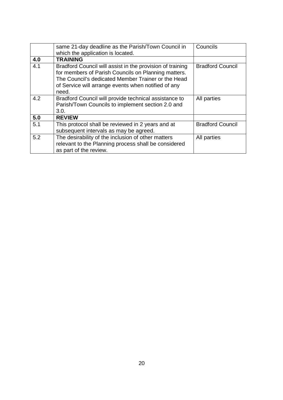|     | same 21-day deadline as the Parish/Town Council in<br>which the application is located.                                                                                                                                                | Councils                |
|-----|----------------------------------------------------------------------------------------------------------------------------------------------------------------------------------------------------------------------------------------|-------------------------|
| 4.0 | <b>TRAINING</b>                                                                                                                                                                                                                        |                         |
| 4.1 | Bradford Council will assist in the provision of training<br>for members of Parish Councils on Planning matters.<br>The Council's dedicated Member Trainer or the Head<br>of Service will arrange events when notified of any<br>need. | <b>Bradford Council</b> |
| 4.2 | Bradford Council will provide technical assistance to<br>Parish/Town Councils to implement section 2.0 and<br>3.0.                                                                                                                     | All parties             |
| 5.0 | <b>REVIEW</b>                                                                                                                                                                                                                          |                         |
| 5.1 | This protocol shall be reviewed in 2 years and at<br>subsequent intervals as may be agreed.                                                                                                                                            | <b>Bradford Council</b> |
| 5.2 | The desirability of the inclusion of other matters<br>relevant to the Planning process shall be considered<br>as part of the review.                                                                                                   | All parties             |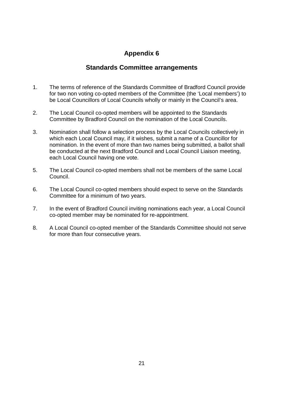## **Standards Committee arrangements**

- 1. The terms of reference of the Standards Committee of Bradford Council provide for two non voting co-opted members of the Committee (the 'Local members') to be Local Councillors of Local Councils wholly or mainly in the Council's area.
- 2. The Local Council co-opted members will be appointed to the Standards Committee by Bradford Council on the nomination of the Local Councils.
- 3. Nomination shall follow a selection process by the Local Councils collectively in which each Local Council may, if it wishes, submit a name of a Councillor for nomination. In the event of more than two names being submitted, a ballot shall be conducted at the next Bradford Council and Local Council Liaison meeting, each Local Council having one vote.
- 5. The Local Council co-opted members shall not be members of the same Local Council.
- 6. The Local Council co-opted members should expect to serve on the Standards Committee for a minimum of two years.
- 7. In the event of Bradford Council inviting nominations each year, a Local Council co-opted member may be nominated for re-appointment.
- 8. A Local Council co-opted member of the Standards Committee should not serve for more than four consecutive years.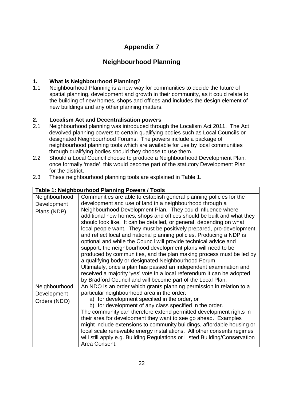# **Neighbourhood Planning**

## **1. What is Neighbourhood Planning?**

1.1 Neighbourhood Planning is a new way for communities to decide the future of spatial planning, development and growth in their community, as it could relate to the building of new homes, shops and offices and includes the design element of new buildings and any other planning matters.

## **2. Localism Act and Decentralisation powers**

- 2.1 Neighbourhood planning was introduced through the Localism Act 2011. The Act devolved planning powers to certain qualifying bodies such as Local Councils or designated Neighbourhood Forums. The powers include a package of neighbourhood planning tools which are available for use by local communities through qualifying bodies should they choose to use them.
- 2.2 Should a Local Council choose to produce a Neighbourhood Development Plan, once formally 'made', this would become part of the statutory Development Plan for the district.
- 2.3 These neighbourhood planning tools are explained in Table 1.

| Neighbourhood | Communities are able to establish general planning policies for the        |  |  |
|---------------|----------------------------------------------------------------------------|--|--|
| Development   | development and use of land in a neighbourhood through a                   |  |  |
| Plans (NDP)   | Neighbourhood Development Plan. They could influence where                 |  |  |
|               | additional new homes, shops and offices should be built and what they      |  |  |
|               | should look like. It can be detailed, or general, depending on what        |  |  |
|               | local people want. They must be positively prepared, pro-development       |  |  |
|               | and reflect local and national planning policies. Producing a NDP is       |  |  |
|               | optional and while the Council will provide technical advice and           |  |  |
|               | support, the neighbourhood development plans will need to be               |  |  |
|               | produced by communities, and the plan making process must be led by        |  |  |
|               | a qualifying body or designated Neighbourhood Forum.                       |  |  |
|               | Ultimately, once a plan has passed an independent examination and          |  |  |
|               | received a majority 'yes' vote in a local referendum it can be adopted     |  |  |
|               | by Bradford Council and will become part of the Local Plan.                |  |  |
| Neighbourhood | An NDO is an order which grants planning permission in relation to a       |  |  |
| Development   | particular neighbourhood area in the order:                                |  |  |
| Orders (NDO)  | a) for development specified in the order, or                              |  |  |
|               | b) for development of any class specified in the order.                    |  |  |
|               | The community can therefore extend permitted development rights in         |  |  |
|               | their area for development they want to see go ahead. Examples             |  |  |
|               | might include extensions to community buildings, affordable housing or     |  |  |
|               | local scale renewable energy installations. All other consents regimes     |  |  |
|               | will still apply e.g. Building Regulations or Listed Building/Conservation |  |  |
|               | Area Consent.                                                              |  |  |

## **Table 1: Neighbourhood Planning Powers / Tools**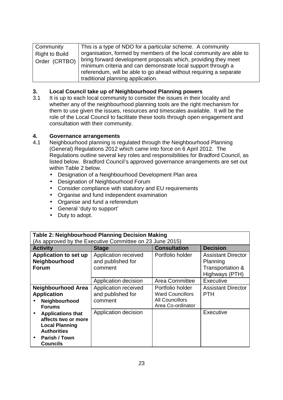| Community             | This is a type of NDO for a particular scheme. A community         |
|-----------------------|--------------------------------------------------------------------|
| <b>Right to Build</b> | organisation, formed by members of the local community are able to |
| Order (CRTBO)         | bring forward development proposals which, providing they meet     |
|                       | minimum criteria and can demonstrate local support through a       |
|                       | referendum, will be able to go ahead without requiring a separate  |
|                       | traditional planning application.                                  |

#### **3. Local Council take up of Neighbourhood Planning powers**

3.1 It is up to each local community to consider the issues in their locality and whether any of the neighbourhood planning tools are the right mechanism for them to use given the issues, resources and timescales available. It will be the role of the Local Council to facilitate these tools through open engagement and consultation with their community.

#### **4. Governance arrangements**

- 4.1 Neighbourhood planning is regulated through the Neighbourhood Planning (General) Regulations 2012 which came into force on 6 April 2012. The Regulations outline several key roles and responsibilities for Bradford Council, as listed below. Bradford Council's approved governance arrangements are set out within Table 2 below.
	- Designation of a Neighbourhood Development Plan area
	- Designation of Neighbourhood Forum
	- Consider compliance with statutory and EU requirements
	- Organise and fund independent examination
	- Organise and fund a referendum
	- General 'duty to support'
	- Duty to adopt.

| Table 2: Neighbourhood Planning Decision Making                                                                             |                                                          |                                                                                            |                                                                             |
|-----------------------------------------------------------------------------------------------------------------------------|----------------------------------------------------------|--------------------------------------------------------------------------------------------|-----------------------------------------------------------------------------|
|                                                                                                                             | (As approved by the Executive Committee on 23 June 2015) |                                                                                            |                                                                             |
| <b>Activity</b>                                                                                                             | <b>Stage</b>                                             | <b>Consultation</b>                                                                        | <b>Decision</b>                                                             |
| Application to set up<br>Neighbourhood<br><b>Forum</b>                                                                      | Application received<br>and published for<br>comment     | Portfolio holder                                                                           | <b>Assistant Director</b><br>Planning<br>Transportation &<br>Highways (PTH) |
|                                                                                                                             | Application decision                                     | Area Committee                                                                             | Executive                                                                   |
| <b>Neighbourhood Area</b><br><b>Application</b><br>Neighbourhood<br><b>Forums</b>                                           | Application received<br>and published for<br>comment     | Portfolio holder<br><b>Ward Councillors</b><br><b>All Councillors</b><br>Area Co-ordinator | <b>Assistant Director</b><br><b>PTH</b>                                     |
| <b>Applications that</b><br>affects two or more<br><b>Local Planning</b><br><b>Authorities</b><br>Parish / Town<br>Councils | Application decision                                     |                                                                                            | Executive                                                                   |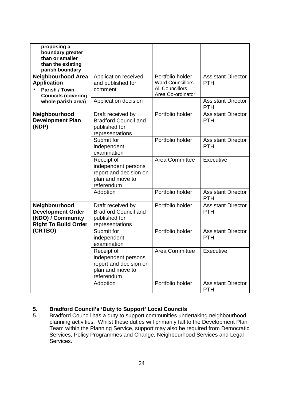| proposing a<br>boundary greater<br>than or smaller<br>than the existing<br>parish boundary    |                                                                                               |                                                                                            |                                         |
|-----------------------------------------------------------------------------------------------|-----------------------------------------------------------------------------------------------|--------------------------------------------------------------------------------------------|-----------------------------------------|
| <b>Neighbourhood Area</b><br><b>Application</b><br>Parish / Town<br><b>Councils (covering</b> | Application received<br>and published for<br>comment                                          | Portfolio holder<br><b>Ward Councillors</b><br><b>All Councillors</b><br>Area Co-ordinator | <b>Assistant Director</b><br><b>PTH</b> |
| whole parish area)                                                                            | Application decision                                                                          |                                                                                            | <b>Assistant Director</b><br><b>PTH</b> |
| Neighbourhood<br><b>Development Plan</b><br>(NDP)                                             | Draft received by<br><b>Bradford Council and</b><br>published for<br>representations          | Portfolio holder                                                                           | <b>Assistant Director</b><br><b>PTH</b> |
|                                                                                               | Submit for<br>independent<br>examination                                                      | Portfolio holder                                                                           | <b>Assistant Director</b><br><b>PTH</b> |
|                                                                                               | Receipt of<br>independent persons<br>report and decision on<br>plan and move to<br>referendum | Area Committee                                                                             | Executive                               |
|                                                                                               | Adoption                                                                                      | Portfolio holder                                                                           | <b>Assistant Director</b><br><b>PTH</b> |
| Neighbourhood<br><b>Development Order</b><br>(NDO) / Community<br><b>Right To Build Order</b> | Draft received by<br><b>Bradford Council and</b><br>published for<br>representations          | Portfolio holder                                                                           | <b>Assistant Director</b><br><b>PTH</b> |
| (CRTBO)                                                                                       | Submit for<br>independent<br>examination                                                      | Portfolio holder                                                                           | <b>Assistant Director</b><br><b>PTH</b> |
|                                                                                               | Receipt of<br>independent persons<br>report and decision on<br>plan and move to<br>referendum | Area Committee                                                                             | Executive                               |
|                                                                                               | Adoption                                                                                      | Portfolio holder                                                                           | <b>Assistant Director</b><br><b>PTH</b> |

#### **5. Bradford Council's 'Duty to Support' Local Councils**

5.1 Bradford Council has a duty to support communities undertaking neighbourhood planning activities. Whilst these duties will primarily fall to the Development Plan Team within the Planning Service, support may also be required from Democratic Services, Policy Programmes and Change, Neighbourhood Services and Legal Services.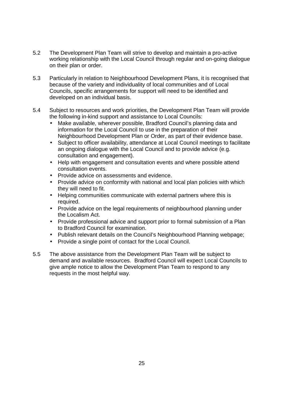- 5.2 The Development Plan Team will strive to develop and maintain a pro-active working relationship with the Local Council through regular and on-going dialogue on their plan or order.
- 5.3 Particularly in relation to Neighbourhood Development Plans, it is recognised that because of the variety and individuality of local communities and of Local Councils, specific arrangements for support will need to be identified and developed on an individual basis.
- 5.4 Subject to resources and work priorities, the Development Plan Team will provide the following in-kind support and assistance to Local Councils:
	- Make available, wherever possible, Bradford Council's planning data and information for the Local Council to use in the preparation of their Neighbourhood Development Plan or Order, as part of their evidence base.
	- Subject to officer availability, attendance at Local Council meetings to facilitate an ongoing dialogue with the Local Council and to provide advice (e.g. consultation and engagement).
	- Help with engagement and consultation events and where possible attend consultation events.
	- Provide advice on assessments and evidence.
	- Provide advice on conformity with national and local plan policies with which they will need to fit.
	- Helping communities communicate with external partners where this is required.
	- Provide advice on the legal requirements of neighbourhood planning under the Localism Act.
	- Provide professional advice and support prior to formal submission of a Plan to Bradford Council for examination.
	- Publish relevant details on the Council's Neighbourhood Planning webpage;
	- Provide a single point of contact for the Local Council.
- 5.5 The above assistance from the Development Plan Team will be subject to demand and available resources. Bradford Council will expect Local Councils to give ample notice to allow the Development Plan Team to respond to any requests in the most helpful way.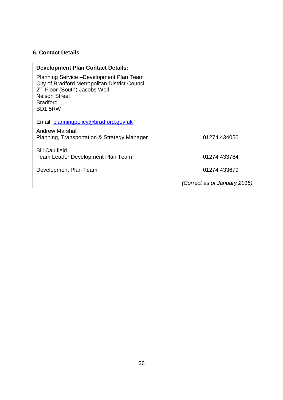## **6. Contact Details**

| <b>Development Plan Contact Details:</b>                                                                                                                                                      |                              |
|-----------------------------------------------------------------------------------------------------------------------------------------------------------------------------------------------|------------------------------|
| Planning Service - Development Plan Team<br>City of Bradford Metropolitan District Council<br>2 <sup>nd</sup> Floor (South) Jacobs Well<br><b>Nelson Street</b><br><b>Bradford</b><br>BD1 5RW |                              |
| Email: planningpolicy@bradford.gov.uk                                                                                                                                                         |                              |
| Andrew Marshall<br>Planning, Transportation & Strategy Manager                                                                                                                                | 01274 434050                 |
| <b>Bill Caulfield</b><br>Team Leader Development Plan Team                                                                                                                                    | 01274 433764                 |
| Development Plan Team                                                                                                                                                                         | 01274 433679                 |
|                                                                                                                                                                                               | (Correct as of January 2015) |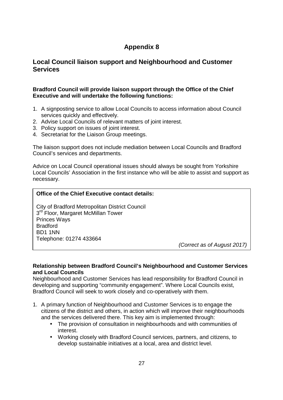## **Local Council liaison support and Neighbourhood and Customer Services**

#### **Bradford Council will provide liaison support through the Office of the Chief Executive and will undertake the following functions:**

- 1. A signposting service to allow Local Councils to access information about Council services quickly and effectively.
- 2. Advise Local Councils of relevant matters of joint interest.
- 3. Policy support on issues of joint interest.
- 4. Secretariat for the Liaison Group meetings.

The liaison support does not include mediation between Local Councils and Bradford Council's services and departments.

Advice on Local Council operational issues should always be sought from Yorkshire Local Councils' Association in the first instance who will be able to assist and support as necessary.

#### **Office of the Chief Executive contact details:**

City of Bradford Metropolitan District Council 3<sup>rd</sup> Floor, Margaret McMillan Tower Princes Ways **Bradford** BD1 1NN Telephone: 01274 433664

(Correct as of August 2017)

#### **Relationship between Bradford Council's Neighbourhood and Customer Services and Local Councils**

 Neighbourhood and Customer Services has lead responsibility for Bradford Council in developing and supporting "community engagement". Where Local Councils exist, Bradford Council will seek to work closely and co-operatively with them.

- 1. A primary function of Neighbourhood and Customer Services is to engage the citizens of the district and others, in action which will improve their neighbourhoods and the services delivered there. This key aim is implemented through:
	- The provision of consultation in neighbourhoods and with communities of interest.
	- Working closely with Bradford Council services, partners, and citizens, to develop sustainable initiatives at a local, area and district level.